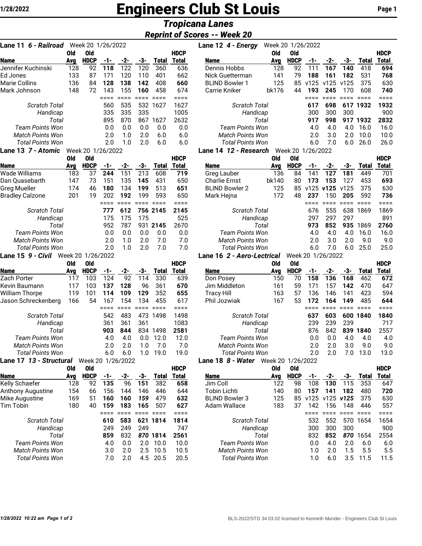# **1/28/2022** Engineers Club St Louis **Page 1**

# *Tropicana Lanes*

## *Reprint of Scores -- Week 20*

| Lane 11 6 - Railroad Week 20 1/26/2022 |                       |                         |              |             |            |                     |                     |
|----------------------------------------|-----------------------|-------------------------|--------------|-------------|------------|---------------------|---------------------|
|                                        | Old                   | Old                     |              |             |            |                     | <b>HDCP</b>         |
| <b>Name</b>                            | Avg                   | <b>HDCP</b>             | -1-          | -2-         | -3-        | <b>Total</b>        | <b>Total</b>        |
| Jennifer Kuchinski                     | 128                   | 92                      | 118          | 122         | 120        | 360                 | 636                 |
| Ed Jones                               | 133                   | 87                      | 171          | 120         | 110        | 401                 | 662                 |
| Marie Collins                          | 136                   | 84                      | 128          | 138         | 142        | 408                 | 660                 |
| Mark Johnson                           | 148                   | 72                      | 143          | 155         | 160        | 458                 | 674                 |
|                                        |                       |                         | ====<br>560  | ====<br>535 | ====       | ====<br>1627        | ====<br>1627        |
| Scratch Total<br>Handicap              |                       |                         | 335          | 335         | 532<br>335 |                     | 1005                |
| Total                                  |                       |                         | 895          | 870         | 867        | 1627                | 2632                |
| <b>Team Points Won</b>                 |                       |                         | 0.0          | 0.0         | 0.0        | 0.0                 | 0.0                 |
| <b>Match Points Won</b>                |                       |                         | 2.0          | 1.0         | 2.0        | 6.0                 | 6.0                 |
| <b>Total Points Won</b>                |                       |                         | 2.0          | 1.0         | 2.0        | 6.0                 | 6.0                 |
| Lane 13 7 - Atomic                     |                       | Week 20 1/26/2022       |              |             |            |                     |                     |
|                                        | <b>Old</b>            | <b>Old</b>              |              |             |            |                     | <b>HDCP</b>         |
| <b>Name</b>                            | Avg                   | <b>HDCP</b>             | $-1-$        | -2-         | -3-        | <b>Total</b>        | Total               |
| Wade Williams                          | 183                   | 37                      | 244          | 151         | 213        | 608                 | 719                 |
| Dan Quasebarth                         | 147                   | 73                      | 151          | 135         | 145        | 431                 | 650                 |
| <b>Greg Mueller</b>                    | 174                   | 46                      | 180          | 134         | 199        | 513                 | 651                 |
| <b>Bradley Calzone</b>                 | 201                   | 19                      | 202          | 192         | 199        | 593                 | 650                 |
|                                        |                       |                         | ====         | $= 100$     | ====       | ====                | ====                |
| <b>Scratch Total</b>                   |                       |                         | 777          | 612         |            | 756 2145            | 2145                |
| Handicap                               |                       |                         | 175          | 175         | 175        |                     | 525                 |
| Total                                  |                       |                         | 952          | 787         |            | 931 2145            | 2670                |
| Team Points Won                        |                       |                         | 0.0          | 0.0         | 0.0        | 0.0                 | 0.0                 |
| <b>Match Points Won</b>                |                       |                         | 2.0          | 1.0         | 2.0        | 7.0                 | 7.0                 |
| <b>Total Points Won</b>                |                       |                         | 2.0          | 1.0         | 2.0        | 7.0                 | 7.0                 |
| Lane 15 9 - Civil                      | Week 20<br><b>Old</b> | 1/26/2022<br><b>Old</b> |              |             |            |                     | <b>HDCP</b>         |
| <b>Name</b>                            | Ava                   | <b>HDCP</b>             | -1-          | -2-         | -3-        | <b>Total</b>        | <b>Total</b>        |
| Zach Porter                            | 117                   | 103                     | 124          | 92          | 114        | 330                 | 639                 |
| Kevin Baumann                          | 117                   | 103                     | 137          | 128         | 96         | 361                 | 670                 |
| William Thorpe                         | 119                   | 101                     | 114          | 109         | 129        | 352                 | 655                 |
| Jason Schreckenberg                    | 166                   | 54                      | 167          | 154         | 134        | 455                 | 617                 |
|                                        |                       |                         | ====         | $====$      | ====       | $====$              | ====                |
| <b>Scratch Total</b>                   |                       |                         | 542          | 483         | 473        | 1498                | 1498                |
| Handicap                               |                       |                         | 361          | 361         | 361        |                     | 1083                |
| Total                                  |                       |                         | 903          | 844         | 834        | 1498                | 2581                |
| <b>Team Points Won</b>                 |                       |                         | 4.0          | 4.0         | 0.0        | 12.0                | 12.0                |
| <b>Match Points Won</b>                |                       |                         | 2.0          | 2.0         | 1.0        | 7.0                 | 7.0                 |
| Total Points Won                       |                       |                         | 6.0          | 6.0         | 1.0        | 19.0                | 19.0                |
| Lane 17 13 - Structural Week 20        |                       |                         |              | 1/26/2022   |            |                     |                     |
|                                        | Old                   | Old                     |              |             |            |                     | <b>HDCP</b>         |
| Name<br>Kelly Schaefer                 | Avg<br>128            | <b>HDCP</b><br>92       | $-1-$<br>135 | $-2-$<br>96 | -3-<br>151 | <b>Total</b><br>382 | <b>Total</b><br>658 |
| Anthony Augustine                      | 154                   | 66                      | 156          | 144         | 146        | 446                 | 644                 |
| Mike Augustine                         | 169                   | 51                      | 160          | 160         | 159        | 479                 | 632                 |
| Tim Tobin                              | 180                   | 40                      | 159          | 183         | 165        | 507                 | 627                 |
|                                        |                       |                         | ====         | ====        | ====       | ====                | ====                |
| <b>Scratch Total</b>                   |                       |                         | 610          | 583         | 621        | 1814                | 1814                |
| Handicap                               |                       |                         | 249          | 249         | 249        |                     | 747                 |
| Total                                  |                       |                         | 859          | 832         |            | 870 1814            | 2561                |
| <b>Team Points Won</b>                 |                       |                         | 4.0          | 0.0         | 2.0        | 10.0                | 10.0                |
| <b>Match Points Won</b>                |                       |                         | 3.0          | 2.0         | 2.5        | 10.5                | 10.5                |
| <b>Total Points Won</b>                |                       |                         | 7.0          | 2.0         | 4.5        | 20.5                | 20.5                |

| Lane 11 6 - Railroad    |            | Week 20 1/26/2022 |                 |                   |                  |                               |              | Lane 12 4 - Energy                  | Week 20 1/26/2022 |                   |              |                   |                  |                 |              |
|-------------------------|------------|-------------------|-----------------|-------------------|------------------|-------------------------------|--------------|-------------------------------------|-------------------|-------------------|--------------|-------------------|------------------|-----------------|--------------|
|                         | Old        | <b>Old</b>        |                 |                   |                  |                               | <b>HDCP</b>  |                                     | <b>Old</b>        | <b>Old</b>        |              |                   |                  |                 | <b>HDCP</b>  |
| Name                    | Avg        | <b>HDCP</b>       | -1-             | -2-               | -3-              | <b>Total</b>                  | <b>Total</b> | Name                                | Avg               | <b>HDCP</b>       | -1-          | -2-               | -3-              | <b>Total</b>    | <b>Total</b> |
| Jennifer Kuchinski      | 128        | 92                | 118             | 122               | 120              | 360                           | 636          | Dennis Hobbs                        | 128               | 92                | 111          | 167               | 140              | 418             | 694          |
| Ed Jones                | 133        | 87                | 171             | 120               | 110              | 401                           | 662          | Nick Guetterman                     | 141               | 79                | 188          | 161               | 182              | 531             | 768          |
| Marie Collins           | 136        | 84                | 128             | 138               | 142              | 408                           | 660          | <b>BLIND Bowler 1</b>               | 125               |                   | 85 v125      | v125              | v125             | 375             | 630          |
| Mark Johnson            | 148        | 72                | 143             | 155               | 160              | 458                           | 674          | <b>Carrie Kniker</b>                | bk176             | 44                | 193          | 245               | 170              | 608             | 740          |
|                         |            |                   | $=$ $=$ $=$ $=$ | $=$ $=$ $=$ $=$   | <b>EEEE</b> EEEE |                               | ====         |                                     |                   |                   | $====$       | $====$            | $=$ $=$ $=$ $=$  | $=$ $=$ $=$ $=$ | ====         |
| <b>Scratch Total</b>    |            |                   | 560             | 535               |                  | 532 1627                      | 1627         | Scratch Total                       |                   |                   | 617          | 698               |                  | 617 1932        | 1932         |
| Handicap                |            |                   | 335             | 335               | 335              |                               | 1005         | Handicap                            |                   |                   | 300          | 300               | 300              |                 | 900          |
| Total                   |            |                   | 895             | 870               | 867              | 1627                          | 2632         | Total                               |                   |                   | 917          | 998               |                  | 917 1932        | 2832         |
| <b>Team Points Won</b>  |            |                   | 0.0             | 0.0               | 0.0              | 0.0                           | 0.0          | <b>Team Points Won</b>              |                   |                   | 4.0          | 4.0               | 4.0              | 16.0            | 16.0         |
| <b>Match Points Won</b> |            |                   | 2.0             | 1.0               | 2.0              | 6.0                           | 6.0          | <b>Match Points Won</b>             |                   |                   | 2.0          | 3.0               | 2.0              | 10.0            | 10.0         |
| <b>Total Points Won</b> |            |                   | 2.0             | 1.0               | 2.0              | 6.0                           | 6.0          | <b>Total Points Won</b>             |                   |                   | 6.0          | 7.0               | 6.0              | 26.0            | 26.0         |
| Lane 13 7 - Atomic      |            | Week 20 1/26/2022 |                 |                   |                  |                               |              | Lane 14 12 - Research               |                   | Week 20 1/26/2022 |              |                   |                  |                 |              |
|                         | Old        | <b>Old</b>        |                 |                   |                  |                               | <b>HDCP</b>  |                                     | Old               | <b>Old</b>        |              |                   |                  |                 | <b>HDCP</b>  |
| Name                    | Avg        | <b>HDCP</b>       | -1-             | -2-               | -3-              | <b>Total</b>                  | <b>Total</b> | <b>Name</b>                         | Avg               | <b>HDCP</b>       | -1-          | -2-               | -3-              | <b>Total</b>    | <b>Total</b> |
| Wade Williams           | 183        | 37                | 244             | 151               | 213              | 608                           | 719          | Greg Lauber                         | 136               | 84                | 141          | 127               | 181              | 449             | 701          |
| Dan Quasebarth          | 147        | 73                | 151             | 135               | 145              | 431                           | 650          | <b>Charlie Ernst</b>                | bk140             | 80                | 173          | 153               | 127              | 453             | 693          |
| Greg Mueller            | 174        | 46                | 180             | 134               | 199              | 513                           | 651          | <b>BLIND Bowler 2</b>               | 125               |                   | 85 v125 v125 |                   | v125             | 375             | 630          |
| <b>Bradley Calzone</b>  | 201        | 19                | 202             | 192               | 199              | 593                           | 650          | Mark Hejna                          | 172               | 48                | 237          | 150               | 205              | 592             | 736          |
|                         |            |                   | $== ==$         | $=$ $=$ $=$ $=$   | $=$ $=$ $=$ $=$  | $=$ $=$ $=$ $=$               | ====         |                                     |                   |                   | ====         | $=$ $=$ $=$ $=$   | $====$           | $====$          | ====         |
| <b>Scratch Total</b>    |            |                   | 777             | 612               |                  | 756 2145                      | 2145         | Scratch Total                       |                   |                   | 676          | 555               |                  | 638 1869        | 1869         |
| Handicap                |            |                   | 175             | 175               | 175              |                               | 525          | Handicap                            |                   |                   | 297          | 297               | 297              |                 | 891          |
| Total                   |            |                   | 952             | 787               | 931              | 2145                          | 2670         | Total                               |                   |                   | 973          | 852               | 935              | 1869            | 2760         |
| <b>Team Points Won</b>  |            |                   | 0.0             | 0.0               | 0.0              | 0.0                           | 0.0          | <b>Team Points Won</b>              |                   |                   | 4.0          | 4.0               | 4.0              | 16.0            | 16.0         |
| <b>Match Points Won</b> |            |                   | 2.0             | 1.0               | 2.0              | 7.0                           | 7.0          | <b>Match Points Won</b>             |                   |                   | 2.0          | 3.0               | 2.0              | 9.0             | 9.0          |
| <b>Total Points Won</b> |            |                   | 2.0             | 1.0               | 2.0              | 7.0                           | 7.0          | <b>Total Points Won</b>             |                   |                   | 6.0          | 7.0               | 6.0              | 25.0            | 25.0         |
| Lane 15 9 - Civil       |            | Week 20 1/26/2022 |                 |                   |                  |                               |              | Lane 16 2 - Aero-Lectrical          |                   | Week 20 1/26/2022 |              |                   |                  |                 |              |
|                         | <b>Old</b> | Old               |                 |                   |                  |                               | <b>HDCP</b>  |                                     | <b>Old</b>        | <b>Old</b>        |              |                   |                  |                 | <b>HDCP</b>  |
| Name                    | Avg        | <b>HDCP</b>       | -1-             | -2-               | -3-              | <b>Total</b>                  | Total        | <b>Name</b>                         | Avg               | <b>HDCP</b>       | -1-          | -2-               | -3-              | <b>Total</b>    | <b>Total</b> |
| Zach Porter             | 117        | 103               | 124             | 92                | 114              | 330                           | 639          | Don Posey                           | 150               | 70                | 158          | 136               | 168              | 462             | 672          |
| Kevin Baumann           | 117        | 103               | 137             | 128               | 96               | 361                           | 670          | Jim Middleton                       | 161               | 59                | 171          | 157               | 142              | 470             | 647          |
| William Thorpe          | 119        | 101               | 114             | 109               | 129              | 352                           | 655          | <b>Tracy Hill</b>                   | 163               | 57                | 136          | 146               | 141              | 423             | 594          |
| Jason Schreckenberg     | 166        | 54                | 167             | 154               | 134              | 455                           | 617          | Phil Jozwiak                        | 167               | 53                | 172          | 164               | 149              | 485             | 644          |
|                         |            |                   | $=$ $=$ $=$ $=$ | $=$ $=$ $=$ $=$   | $=$ $=$ $=$ $=$  | $\equiv \equiv \equiv \equiv$ | ====         |                                     |                   |                   | ====         | $====$            | $====$           | $=$ $=$ $=$ $=$ | ====         |
| <b>Scratch Total</b>    |            |                   | 542             | 483               |                  | 473 1498                      | 1498         | <b>Scratch Total</b>                |                   |                   | 637          | 603               |                  | 600 1840        | 1840         |
| Handicap                |            |                   | 361             | 361               | 361              |                               | 1083         | Handicap                            |                   |                   | 239          | 239               | 239              |                 | 717          |
| Total                   |            |                   | 903             | 844               | 834              | 1498                          | 2581         | Total                               |                   |                   | 876          | 842               |                  | 839 1840        | 2557         |
| <b>Team Points Won</b>  |            |                   | 4.0             | 4.0               | 0.0              | 12.0                          | 12.0         | <b>Team Points Won</b>              |                   |                   | 0.0          | 0.0               | 4.0              | 4.0             | 4.0          |
| <b>Match Points Won</b> |            |                   | 2.0             | 2.0               | 1.0              | 7.0                           | 7.0          | <b>Match Points Won</b>             |                   |                   | 2.0          | 2.0               | 3.0              | 9.0             | 9.0          |
| Total Points Won        |            |                   | 6.0             | 6.0               | 1.0              | 19.0                          | 19.0         | Total Points Won                    |                   |                   | 2.0          | 2.0               |                  | 7.0 13.0        | 13.0         |
| Lane 17 13 - Structural |            |                   |                 | Week 20 1/26/2022 |                  |                               |              | Lane 18 8 - Water Week 20 1/26/2022 |                   |                   |              |                   |                  |                 |              |
|                         | <b>Old</b> | 0ld               |                 |                   |                  |                               | <b>HDCP</b>  |                                     | <b>Old</b>        | <b>Old</b>        |              |                   |                  |                 | <b>HDCP</b>  |
| <b>Name</b>             | Avg        | <b>HDCP</b>       | $-1-$           | -2-               | -3-              |                               | Total Total  | <b>Name</b>                         | Avg               | <b>HDCP</b>       | $-1-$        | $-2$              | -3-              | Total           | <u>Total</u> |
| Kelly Schaefer          | 128        | 92                | 135             | 96                | 151              | 382                           | 658          | Jim Coll                            | 122               | 98                | 108          | 130               | 115              | 353             | 647          |
| Anthony Augustine       | 154        | 66                | 156             | 144               | 146              | 446                           | 644          | <b>Tobin Lichti</b>                 | 140               | 80                | 157          | 141               | 182              | 480             | 720          |
| Mike Augustine          | 169        | 51                | 160             | 160               | 159              | 479                           | 632          | <b>BLIND Bowler 3</b>               | 125               |                   |              | 85 v125 v125 v125 |                  | 375             | 630          |
| Tim Tobin               | 180        | 40                | 159             | 183               | 165              | 507                           | 627          | Adam Wallace                        | 183               | 37                | 142          | 156               | 148              | 446             | 557          |
|                         |            |                   | $=$ $=$ $=$     | $=$ $=$ $=$ $=$   | $=$ $=$ $=$ $=$  | $=$ $=$ $=$ $=$               | ====         |                                     |                   |                   | ====         | $====$            | <b>EDDE BEED</b> |                 | $====$       |
| <b>Scratch Total</b>    |            |                   | 610             | 583               |                  | 621 1814                      | 1814         | <b>Scratch Total</b>                |                   |                   | 532          | 552               |                  | 570 1654        | 1654         |
| Handicap                |            |                   | 249             | 249               | 249              |                               | 747          | Handicap                            |                   |                   | 300          | 300               | 300              |                 | 900          |
| Total                   |            |                   | 859             | 832               |                  | 870 1814                      | 2561         | Total                               |                   |                   | 832          | 852               |                  | 870 1654        | 2554         |
| <b>Team Points Won</b>  |            |                   | 4.0             | 0.0               | 2.0              | 10.0                          | 10.0         | <b>Team Points Won</b>              |                   |                   | 0.0          | 4.0               | 2.0              | 6.0             | 6.0          |
| <b>Match Points Won</b> |            |                   | 3.0             | 2.0               | 2.5              | 10.5                          | 10.5         | Match Points Won                    |                   |                   | 1.0          | 2.0               | 1.5              | 5.5             | 5.5          |
| <b>Total Points Won</b> |            |                   | 7.0             | 2.0               |                  | 4.5 20.5                      | 20.5         | <b>Total Points Won</b>             |                   |                   | 1.0          | 6.0               |                  | 3.5 11.5        | 11.5         |
|                         |            |                   |                 |                   |                  |                               |              |                                     |                   |                   |              |                   |                  |                 |              |
|                         |            |                   |                 |                   |                  |                               |              |                                     |                   |                   |              |                   |                  |                 |              |